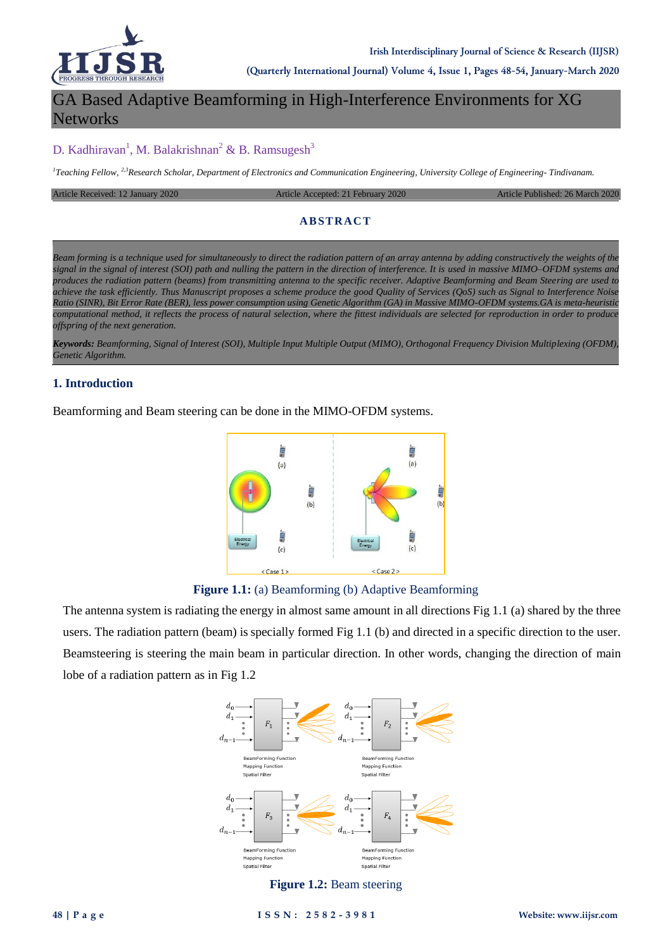

**(Quarterly International Journal) Volume 4, Issue 1, Pages 48-54, January-March 2020**

# GA Based Adaptive Beamforming in High-Interference Environments for XG **Networks**

# D. Kadhiravan<sup>1</sup>, M. Balakrishnan<sup>2</sup> & B. Ramsugesh<sup>3</sup>

*1 Teaching Fellow, 2,3Research Scholar, Department of Electronics and Communication Engineering, University College of Engineering- Tindivanam.*

Article Received: 12 January 2020 Article Accepted: 21 February 2020 Article Published: 26 March 2020

### **AB STRAC T**

*Beam forming is a technique used for simultaneously to direct the radiation pattern of an array antenna by adding constructively the weights of the signal in the signal of interest (SOI) path and nulling the pattern in the direction of interference. It is used in massive MIMO–OFDM systems and produces the radiation pattern (beams) from transmitting antenna to the specific receiver. Adaptive Beamforming and Beam Steering are used to achieve the task efficiently. Thus Manuscript proposes a scheme produce the good Quality of Services (QoS) such as Signal to Interference Noise Ratio (SINR), Bit Error Rate (BER), less power consumption using Genetic Algorithm (GA) in Massive MIMO-OFDM systems.GA is meta-heuristic computational method, it reflects the process of natural selection, where the fittest individuals are selected for reproduction in order to produce offspring of the next generation.*

*Keywords: Beamforming, Signal of Interest (SOI), Multiple Input Multiple Output (MIMO), Orthogonal Frequency Division Multiplexing (OFDM), Genetic Algorithm.*

# **1. Introduction**

Beamforming and Beam steering can be done in the MIMO-OFDM systems.



**Figure 1.1:** (a) Beamforming (b) Adaptive Beamforming

The antenna system is radiating the energy in almost same amount in all directions Fig 1.1 (a) shared by the three users. The radiation pattern (beam) is specially formed Fig 1.1 (b) and directed in a specific direction to the user. Beamsteering is steering the main beam in particular direction. In other words, changing the direction of main lobe of a radiation pattern as in Fig 1.2



## **Figure 1.2:** Beam steering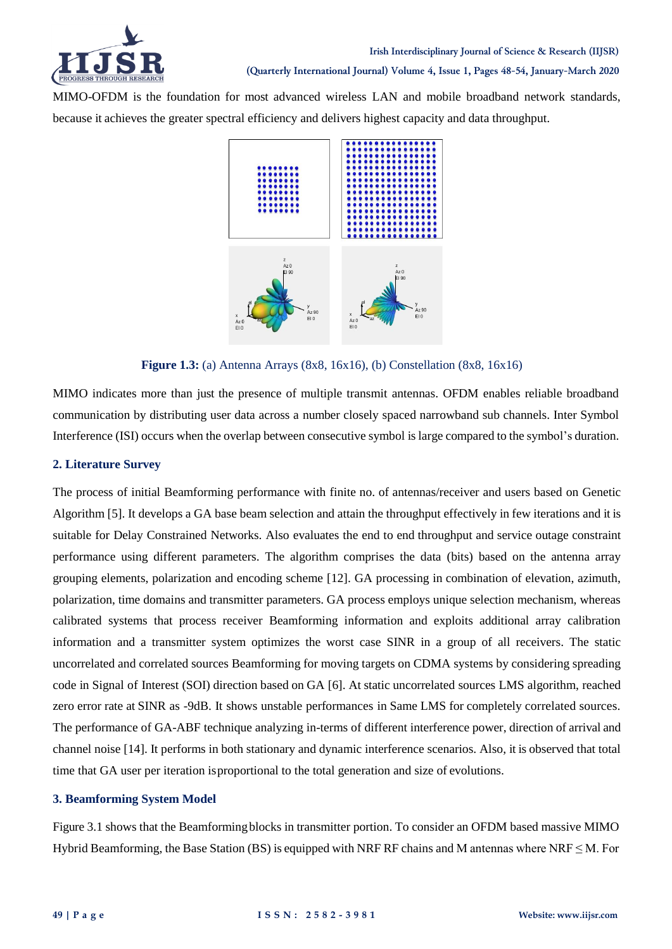

MIMO-OFDM is the foundation for most advanced wireless LAN and mobile broadband network standards, because it achieves the greater spectral efficiency and delivers highest capacity and data throughput.



**Figure 1.3:** (a) Antenna Arrays (8x8, 16x16), (b) Constellation (8x8, 16x16)

MIMO indicates more than just the presence of multiple transmit antennas. OFDM enables reliable broadband communication by distributing user data across a number closely spaced narrowband sub channels. Inter Symbol Interference (ISI) occurs when the overlap between consecutive symbol islarge compared to the symbol's duration.

# **2. Literature Survey**

The process of initial Beamforming performance with finite no. of antennas/receiver and users based on Genetic Algorithm [5]. It develops a GA base beam selection and attain the throughput effectively in few iterations and it is suitable for Delay Constrained Networks. Also evaluates the end to end throughput and service outage constraint performance using different parameters. The algorithm comprises the data (bits) based on the antenna array grouping elements, polarization and encoding scheme [12]. GA processing in combination of elevation, azimuth, polarization, time domains and transmitter parameters. GA process employs unique selection mechanism, whereas calibrated systems that process receiver Beamforming information and exploits additional array calibration information and a transmitter system optimizes the worst case SINR in a group of all receivers. The static uncorrelated and correlated sources Beamforming for moving targets on CDMA systems by considering spreading code in Signal of Interest (SOI) direction based on GA [6]. At static uncorrelated sources LMS algorithm, reached zero error rate at SINR as -9dB. It shows unstable performances in Same LMS for completely correlated sources. The performance of GA-ABF technique analyzing in-terms of different interference power, direction of arrival and channel noise [14]. It performs in both stationary and dynamic interference scenarios. Also, it is observed that total time that GA user per iteration isproportional to the total generation and size of evolutions.

# **3. Beamforming System Model**

Figure 3.1 shows that the Beamformingblocks in transmitter portion. To consider an OFDM based massive MIMO Hybrid Beamforming, the Base Station (BS) is equipped with NRF RF chains and M antennas where NRF  $\leq$  M. For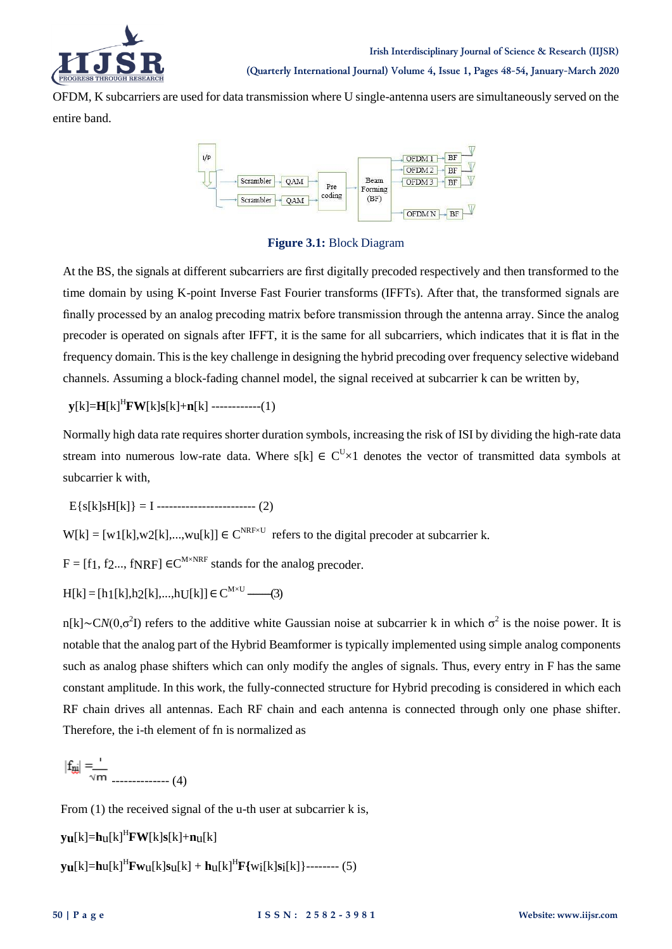

OFDM, K subcarriers are used for data transmission where U single-antenna users are simultaneously served on the entire band.



**Figure 3.1:** Block Diagram

At the BS, the signals at different subcarriers are first digitally precoded respectively and then transformed to the time domain by using K-point Inverse Fast Fourier transforms (IFFTs). After that, the transformed signals are finally processed by an analog precoding matrix before transmission through the antenna array. Since the analog precoder is operated on signals after IFFT, it is the same for all subcarriers, which indicates that it is flat in the frequency domain. This is the key challenge in designing the hybrid precoding over frequency selective wideband channels. Assuming a block-fading channel model, the signal received at subcarrier k can be written by,

 $\mathbf{v}[k] = \mathbf{H}[k]^H \mathbf{F} \mathbf{W}[k] \mathbf{s}[k] + \mathbf{n}[k]$  ------------(1)

Normally high data rate requires shorter duration symbols, increasing the risk of ISI by dividing the high-rate data stream into numerous low-rate data. Where s[k]  $\in C^{U}\times 1$  denotes the vector of transmitted data symbols at subcarrier k with,

E{s[k]sH[k]} = I ------------------------ (2)

 $W[k] = [w1[k], w2[k], ..., wu[k]] \in C^{NRF \times U}$  refers to the digital precoder at subcarrier k.

 $F = [f_1, f_2, ..., f_N] \in C^{M \times NRF}$  stands for the analog precoder.

 $H[k] = [h1[k], h2[k], ..., hU[k]] \in C^{M \times U}$  ----(3)

n[k]∼C*N*(0,σ<sup>2</sup>I) refers to the additive white Gaussian noise at subcarrier k in which σ<sup>2</sup> is the noise power. It is notable that the analog part of the Hybrid Beamformer is typically implemented using simple analog components such as analog phase shifters which can only modify the angles of signals. Thus, every entry in F has the same constant amplitude. In this work, the fully-connected structure for Hybrid precoding is considered in which each RF chain drives all antennas. Each RF chain and each antenna is connected through only one phase shifter. Therefore, the i-th element of fn is normalized as

-------------- (4)

From (1) the received signal of the u-th user at subcarrier k is,

 $y$ **u**[k]=**h**u[k]<sup>H</sup>**FW**[k]**s**[k]+**n**u[k]

 $y$ **u**[k]=**h**u[k]<sup>H</sup>**F**w<sub>u</sub>[k]s<sub>u</sub>[k] + **h**<sub>u</sub>[k]<sup>H</sup>**F**{w<sub>i</sub>[k]s<sub>i</sub>[k]}-------- (5)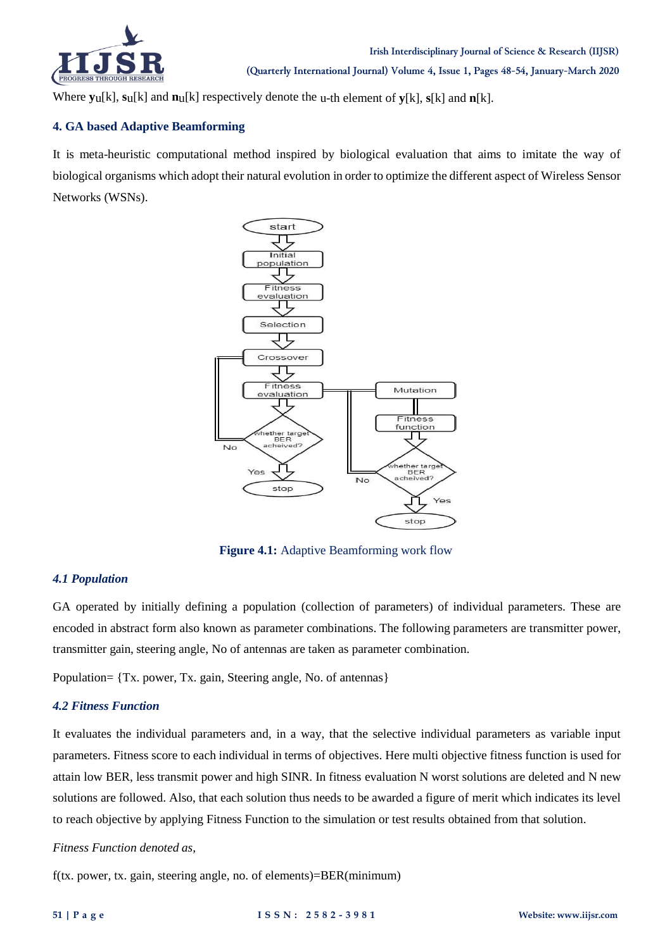

Where **y**u[k], **s**u[k] and **n**u[k] respectively denote the u-th element of **y**[k], **s**[k] and **n**[k].

# **4. GA based Adaptive Beamforming**

It is meta-heuristic computational method inspired by biological evaluation that aims to imitate the way of biological organisms which adopt their natural evolution in order to optimize the different aspect of Wireless Sensor Networks (WSNs).



**Figure 4.1:** Adaptive Beamforming work flow

# *4.1 Population*

GA operated by initially defining a population (collection of parameters) of individual parameters. These are encoded in abstract form also known as parameter combinations. The following parameters are transmitter power, transmitter gain, steering angle, No of antennas are taken as parameter combination.

Population= {Tx. power, Tx. gain, Steering angle, No. of antennas}

## *4.2 Fitness Function*

It evaluates the individual parameters and, in a way, that the selective individual parameters as variable input parameters. Fitness score to each individual in terms of objectives. Here multi objective fitness function is used for attain low BER, less transmit power and high SINR. In fitness evaluation N worst solutions are deleted and N new solutions are followed. Also, that each solution thus needs to be awarded a figure of merit which indicates its level to reach objective by applying Fitness Function to the simulation or test results obtained from that solution.

## *Fitness Function denoted as,*

f(tx. power, tx. gain, steering angle, no. of elements)=BER(minimum)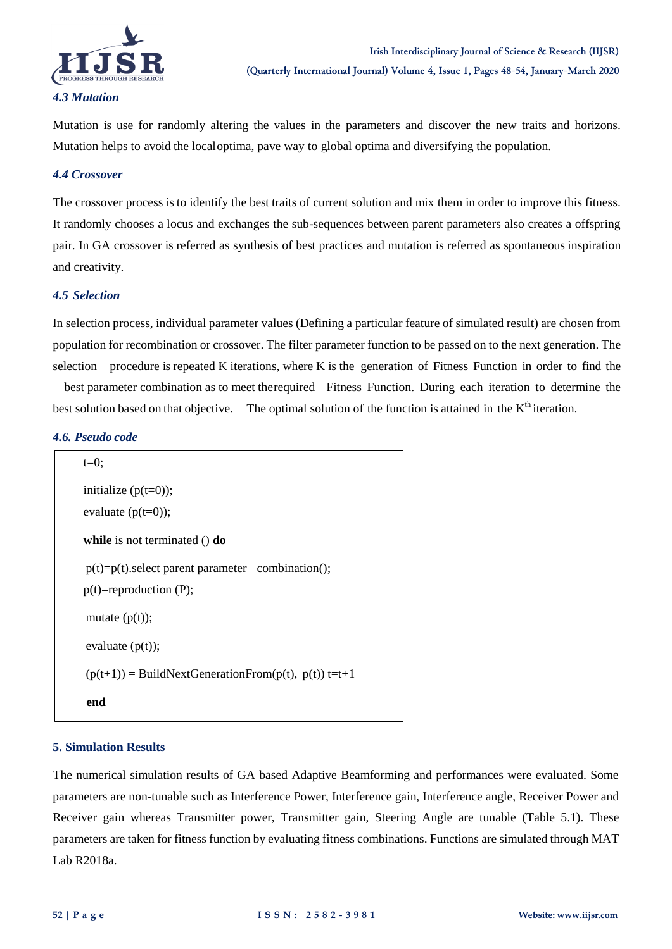

Mutation is use for randomly altering the values in the parameters and discover the new traits and horizons. Mutation helps to avoid the localoptima, pave way to global optima and diversifying the population.

### *4.4 Crossover*

The crossover process is to identify the best traits of current solution and mix them in order to improve this fitness. It randomly chooses a locus and exchanges the sub-sequences between parent parameters also creates a offspring pair. In GA crossover is referred as synthesis of best practices and mutation is referred as spontaneous inspiration and creativity.

### *4.5 Selection*

In selection process, individual parameter values (Defining a particular feature of simulated result) are chosen from population for recombination or crossover. The filter parameter function to be passed on to the next generation. The selection procedure is repeated K iterations, where K is the generation of Fitness Function in order to find the

best parameter combination as to meet therequired Fitness Function. During each iteration to determine the best solution based on that objective. The optimal solution of the function is attained in the K<sup>th</sup> iteration.

#### *4.6. Pseudo code*

| $t=0$ :                                                       |
|---------------------------------------------------------------|
| initialize $(p(t=0))$ ;                                       |
| evaluate $(p(t=0))$ ;                                         |
| while is not terminated $()$ do                               |
| $p(t)=p(t)$ select parent parameter combination();            |
| $p(t)$ =reproduction (P);                                     |
| mutate $(p(t))$ ;                                             |
| evaluate $(p(t))$ ;                                           |
| $(p(t+1))$ = BuildNextGenerationFrom( $p(t)$ , $p(t)$ ) t=t+1 |
| end                                                           |

## **5. Simulation Results**

The numerical simulation results of GA based Adaptive Beamforming and performances were evaluated. Some parameters are non-tunable such as Interference Power, Interference gain, Interference angle, Receiver Power and Receiver gain whereas Transmitter power, Transmitter gain, Steering Angle are tunable (Table 5.1). These parameters are taken for fitness function by evaluating fitness combinations. Functions are simulated through MAT Lab R2018a.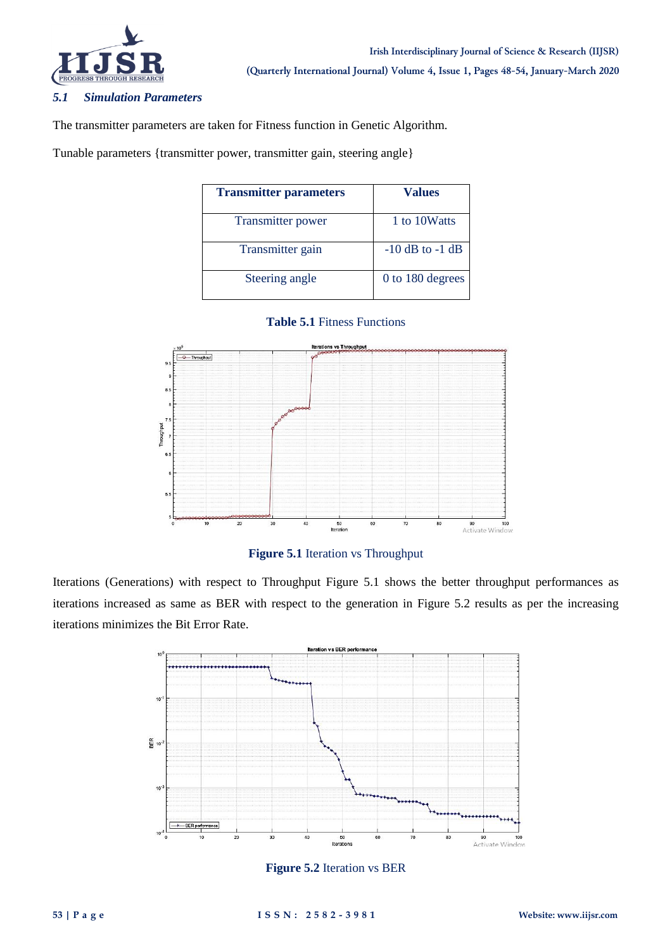

# *5.1 Simulation Parameters*

The transmitter parameters are taken for Fitness function in Genetic Algorithm.

Tunable parameters {transmitter power, transmitter gain, steering angle}

| <b>Transmitter parameters</b> | <b>Values</b>       |
|-------------------------------|---------------------|
| <b>Transmitter power</b>      | 1 to 10Watts        |
| Transmitter gain              | $-10$ dB to $-1$ dB |
| Steering angle                | 0 to 180 degrees    |





## **Figure 5.1** Iteration vs Throughput

Iterations (Generations) with respect to Throughput Figure 5.1 shows the better throughput performances as iterations increased as same as BER with respect to the generation in Figure 5.2 results as per the increasing iterations minimizes the Bit Error Rate.



**Figure 5.2** Iteration vs BER